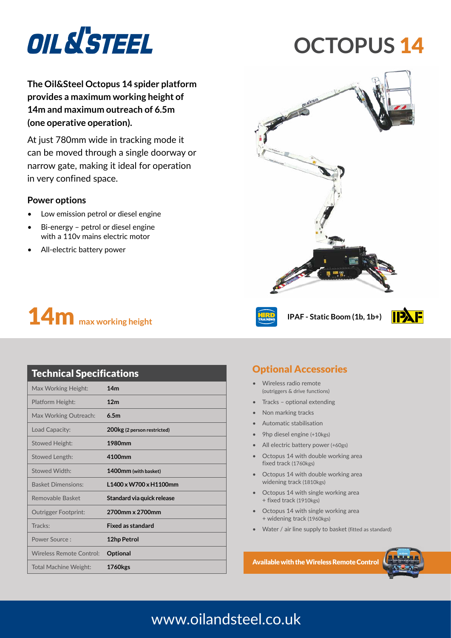

# **OCTOPUS** 14

**The Oil&Steel Octopus 14 spider platform provides a maximum working height of 14m and maximum outreach of 6.5m (one operative operation).**

At just 780mm wide in tracking mode it can be moved through a single doorway or narrow gate, making it ideal for operation in very confined space.

#### **Power options**

- Low emission petrol or diesel engine
- Bi-energy petrol or diesel engine with a 110v mains electric motor
- All-electric battery power



| OIL N'STEEL |
|-------------|
|             |
|             |
| £           |





| <b>Technical Specifications</b> |                             |  |
|---------------------------------|-----------------------------|--|
| Max Working Height:             | 14 <sub>m</sub>             |  |
| Platform Height:                | 12 <sub>m</sub>             |  |
| Max Working Outreach:           | 6.5m                        |  |
| Load Capacity:                  | 200kg (2 person restricted) |  |
| <b>Stowed Height:</b>           | 1980mm                      |  |
| Stowed Length:                  | 4100mm                      |  |
| Stowed Width:                   | 1400mm (with basket)        |  |
| <b>Basket Dimensions:</b>       | L1400 x W700 x H1100mm      |  |
| Removable Basket                | Standard via quick release  |  |
| <b>Outrigger Footprint:</b>     | 2700mm x 2700mm             |  |
| Tracks:                         | <b>Fixed as standard</b>    |  |
| Power Source:                   | 12hp Petrol                 |  |
| Wireless Remote Control:        | Optional                    |  |
| Total Machine Weight:           | <b>1760kgs</b>              |  |

### Optional Accessories

- Wireless radio remote (outriggers & drive functions)
- Tracks optional extending
- Non marking tracks
- Automatic stabilisation
- 9hp diesel engine (+10kgs)
- All electric battery power (+60gs)
- Octopus 14 with double working area fixed track (1760kgs)
- Octopus 14 with double working area widening track (1810kgs)
- Octopus 14 with single working area + fixed track (1910kgs)
- Octopus 14 with single working area + widening track (1960kgs)
- Water / air line supply to basket (fitted as standard)

Available with the Wireless Remote Control



## www.oilandsteel.co.uk